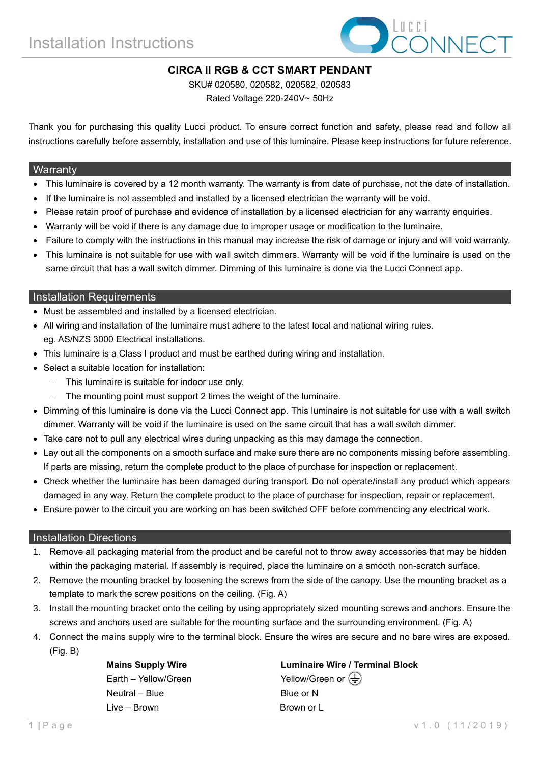

## **CIRCA II RGB & CCT SMART PENDANT**

SKU# 020580, 020582, 020582, 020583

Rated Voltage 220-240V~ 50Hz

Thank you for purchasing this quality Lucci product. To ensure correct function and safety, please read and follow all instructions carefully before assembly, installation and use of this luminaire. Please keep instructions for future reference.

#### **Warranty**

- This luminaire is covered by a 12 month warranty. The warranty is from date of purchase, not the date of installation.
- If the luminaire is not assembled and installed by a licensed electrician the warranty will be void.
- Please retain proof of purchase and evidence of installation by a licensed electrician for any warranty enquiries.
- Warranty will be void if there is any damage due to improper usage or modification to the luminaire.
- Failure to comply with the instructions in this manual may increase the risk of damage or injury and will void warranty.
- This luminaire is not suitable for use with wall switch dimmers. Warranty will be void if the luminaire is used on the same circuit that has a wall switch dimmer. Dimming of this luminaire is done via the Lucci Connect app.

### Installation Requirements

- Must be assembled and installed by a licensed electrician.
- All wiring and installation of the luminaire must adhere to the latest local and national wiring rules. eg. AS/NZS 3000 Electrical installations.
- This luminaire is a Class I product and must be earthed during wiring and installation.
- Select a suitable location for installation:
	- This luminaire is suitable for indoor use only.
	- The mounting point must support 2 times the weight of the luminaire.
- Dimming of this luminaire is done via the Lucci Connect app. This luminaire is not suitable for use with a wall switch dimmer. Warranty will be void if the luminaire is used on the same circuit that has a wall switch dimmer.
- Take care not to pull any electrical wires during unpacking as this may damage the connection.
- Lay out all the components on a smooth surface and make sure there are no components missing before assembling. If parts are missing, return the complete product to the place of purchase for inspection or replacement.
- Check whether the luminaire has been damaged during transport. Do not operate/install any product which appears damaged in any way. Return the complete product to the place of purchase for inspection, repair or replacement.
- Ensure power to the circuit you are working on has been switched OFF before commencing any electrical work.

#### Installation Directions

- 1. Remove all packaging material from the product and be careful not to throw away accessories that may be hidden within the packaging material. If assembly is required, place the luminaire on a smooth non-scratch surface.
- 2. Remove the mounting bracket by loosening the screws from the side of the canopy. Use the mounting bracket as a template to mark the screw positions on the ceiling. (Fig. A)
- 3. Install the mounting bracket onto the ceiling by using appropriately sized mounting screws and anchors. Ensure the screws and anchors used are suitable for the mounting surface and the surrounding environment. (Fig. A)
- 4. Connect the mains supply wire to the terminal block. Ensure the wires are secure and no bare wires are exposed.

(Fig. B)

Earth – Yellow/Green  $\qquad \qquad$  Yellow/Green or  $\left( \frac{1}{n} \right)$ Neutral – Blue **Blue** Blue or N Live – Brown **Brown** Brown or L

**Mains Supply Wire Luminaire Wire / Terminal Block**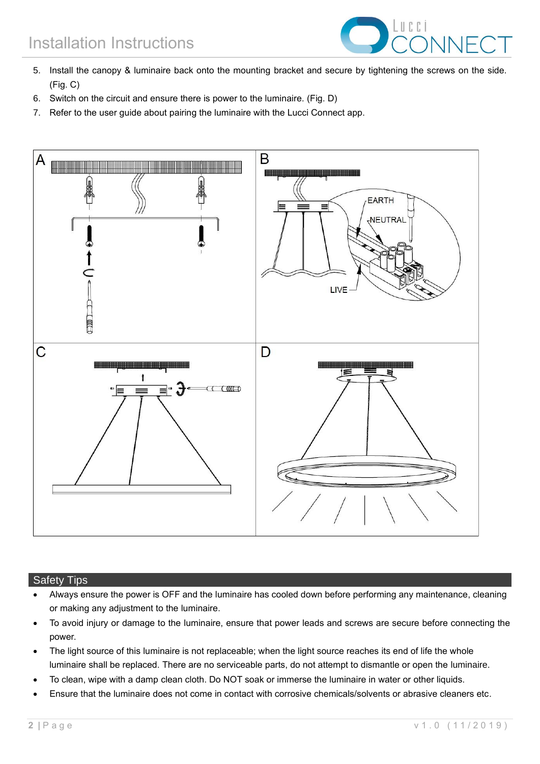

- 5. Install the canopy & luminaire back onto the mounting bracket and secure by tightening the screws on the side. (Fig. C)
- 6. Switch on the circuit and ensure there is power to the luminaire. (Fig. D)
- 7. Refer to the user guide about pairing the luminaire with the Lucci Connect app.



#### Safety Tips

- Always ensure the power is OFF and the luminaire has cooled down before performing any maintenance, cleaning or making any adjustment to the luminaire.
- To avoid injury or damage to the luminaire, ensure that power leads and screws are secure before connecting the power.
- The light source of this luminaire is not replaceable; when the light source reaches its end of life the whole luminaire shall be replaced. There are no serviceable parts, do not attempt to dismantle or open the luminaire.
- To clean, wipe with a damp clean cloth. Do NOT soak or immerse the luminaire in water or other liquids.
- Ensure that the luminaire does not come in contact with corrosive chemicals/solvents or abrasive cleaners etc.